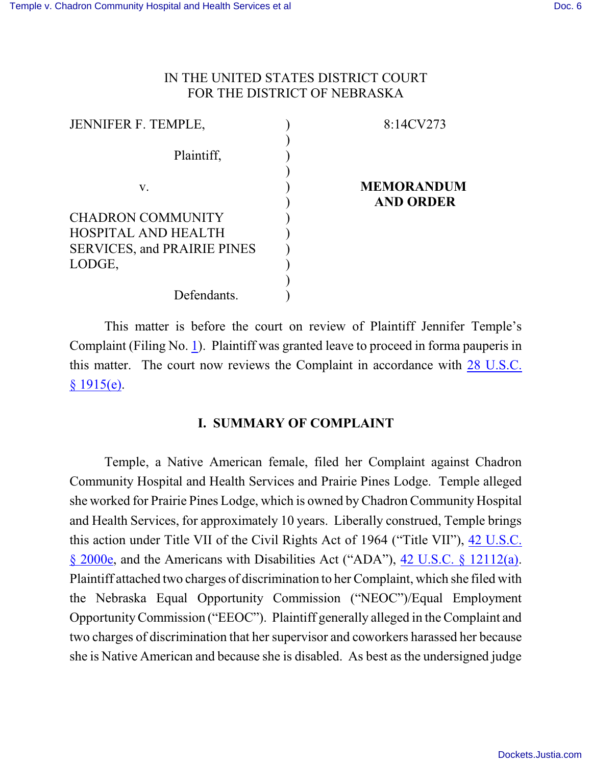# IN THE UNITED STATES DISTRICT COURT FOR THE DISTRICT OF NEBRASKA

| <b>JENNIFER F. TEMPLE,</b>         | 8:14CV273                             |
|------------------------------------|---------------------------------------|
| Plaintiff,                         |                                       |
| V.                                 | <b>MEMORANDUM</b><br><b>AND ORDER</b> |
| <b>CHADRON COMMUNITY</b>           |                                       |
| HOSPITAL AND HEALTH                |                                       |
| <b>SERVICES, and PRAIRIE PINES</b> |                                       |
| LODGE,                             |                                       |
|                                    |                                       |
| Defendants.                        |                                       |

This matter is before the court on review of Plaintiff Jennifer Temple's Complaint (Filing No. [1](http://ecf.ned.uscourts.gov/doc1/11313105944)). Plaintiff was granted leave to proceed in forma pauperis in this matter. The court now reviews the Complaint in accordance with [28 U.S.C.](http://westlaw.com/find/default.wl?ft=L&docname=28USCAS1915&rs=btil2.0&rp=%2ffind%2fdefault.wl&fn=_top&findtype=L&vr=2.0&db=1000546&wbtoolsId=28USCAS1915&HistoryType=F)  $§ 1915(e).$  $§ 1915(e).$ 

## **I. SUMMARY OF COMPLAINT**

Temple, a Native American female, filed her Complaint against Chadron Community Hospital and Health Services and Prairie Pines Lodge. Temple alleged she worked for Prairie Pines Lodge, which is owned by Chadron Community Hospital and Health Services, for approximately 10 years. Liberally construed, Temple brings this action under Title VII of the Civil Rights Act of 1964 ("Title VII"), [42 U.S.C.](http://westlaw.com/find/default.wl?ft=L&docname=42USCAS2000E&rs=btil2.0&rp=%2ffind%2fdefault.wl&fn=_top&findtype=L&vr=2.0&db=1000546&wbtoolsId=42USCAS2000E&HistoryType=F) [§ 2000e](http://westlaw.com/find/default.wl?ft=L&docname=42USCAS2000E&rs=btil2.0&rp=%2ffind%2fdefault.wl&fn=_top&findtype=L&vr=2.0&db=1000546&wbtoolsId=42USCAS2000E&HistoryType=F), and the Americans with Disabilities Act ("ADA"), [42 U.S.C.](http://westlaw.com/find/default.wl?ft=L&docname=42USCAS12112&rs=btil2.0&rp=%2ffind%2fdefault.wl&fn=_top&findtype=L&vr=2.0&db=1000546&wbtoolsId=42USCAS12112&HistoryType=F) § 12112(a). Plaintiff attached two charges of discrimination to her Complaint, which she filed with the Nebraska Equal Opportunity Commission ("NEOC")/Equal Employment OpportunityCommission ("EEOC"). Plaintiff generally alleged in the Complaint and two charges of discrimination that her supervisor and coworkers harassed her because she is Native American and because she is disabled. As best as the undersigned judge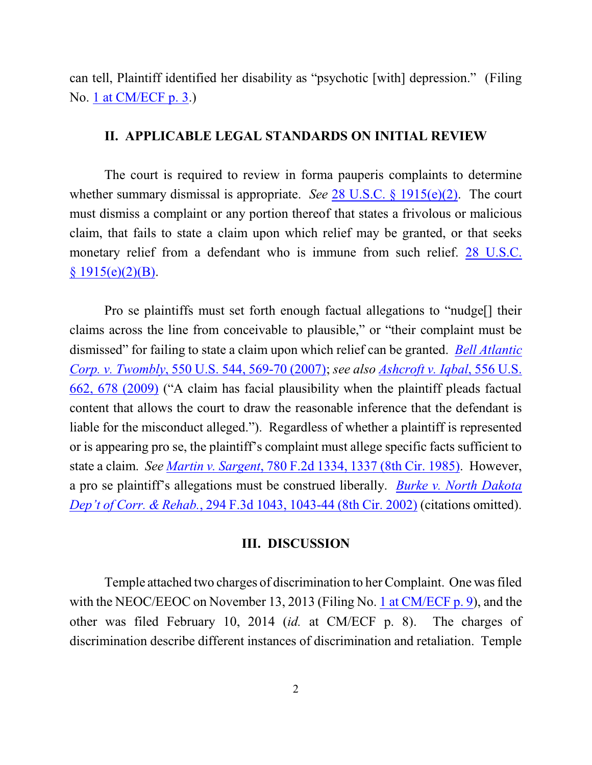can tell, Plaintiff identified her disability as "psychotic [with] depression." (Filing No. [1 at CM/ECF p. 3](http://ecf.ned.uscourts.gov/doc1/11313105944?page=3).)

#### **II. APPLICABLE LEGAL STANDARDS ON INITIAL REVIEW**

The court is required to review in forma pauperis complaints to determine whether summary dismissal is appropriate. *See* [28 U.S.C. § 1915\(e\)\(2\)](http://westlaw.com/find/default.wl?ft=L&docname=28USCAS1915&rs=btil2.0&rp=%2ffind%2fdefault.wl&fn=_top&findtype=L&vr=2.0&db=1000546&wbtoolsId=28USCAS1915&HistoryType=F). The court must dismiss a complaint or any portion thereof that states a frivolous or malicious claim, that fails to state a claim upon which relief may be granted, or that seeks monetary relief from a defendant who is immune from such relief. [28 U.S.C.](http://westlaw.com/find/default.wl?ft=L&docname=28USCAS1915&rs=btil2.0&rp=%2ffind%2fdefault.wl&fn=_top&findtype=L&vr=2.0&db=1000546&wbtoolsId=28USCAS1915&HistoryType=F)  $§ 1915(e)(2)(B).$  $§ 1915(e)(2)(B).$ 

Pro se plaintiffs must set forth enough factual allegations to "nudge[] their claims across the line from conceivable to plausible," or "their complaint must be dismissed" for failing to state a claim upon which relief can be granted. *[Bell Atlantic](http://westlaw.com/find/default.wl?ft=Y&referencepositiontype=S&rs=btil2.0&rp=%2ffind%2fdefault.wl&serialnum=2012293296&fn=_top&referenceposition=569&findtype=Y&vr=2.0&db=0000780&wbtoolsId=2012293296&HistoryType=F) Corp. v. Twombly*, [550 U.S. 544, 569-70 \(2007\)](http://westlaw.com/find/default.wl?ft=Y&referencepositiontype=S&rs=btil2.0&rp=%2ffind%2fdefault.wl&serialnum=2012293296&fn=_top&referenceposition=569&findtype=Y&vr=2.0&db=0000780&wbtoolsId=2012293296&HistoryType=F); *see also [Ashcroft v. Iqbal](http://westlaw.com/find/default.wl?ft=Y&referencepositiontype=S&rs=btil2.0&rp=%2ffind%2fdefault.wl&serialnum=2018848474&fn=_top&referenceposition=678&findtype=Y&vr=2.0&db=0000780&wbtoolsId=2018848474&HistoryType=F)*, 556 U.S. [662, 678 \(2009\)](http://westlaw.com/find/default.wl?ft=Y&referencepositiontype=S&rs=btil2.0&rp=%2ffind%2fdefault.wl&serialnum=2018848474&fn=_top&referenceposition=678&findtype=Y&vr=2.0&db=0000780&wbtoolsId=2018848474&HistoryType=F) ("A claim has facial plausibility when the plaintiff pleads factual content that allows the court to draw the reasonable inference that the defendant is liable for the misconduct alleged."). Regardless of whether a plaintiff is represented or is appearing pro se, the plaintiff's complaint must allege specific facts sufficient to state a claim. *See Martin v. Sargent*[, 780 F.2d 1334, 1337 \(8th Cir. 1985\)](http://westlaw.com/find/default.wl?ft=Y&referencepositiontype=S&rs=btil2.0&rp=%2ffind%2fdefault.wl&serialnum=1985162003&fn=_top&referenceposition=1337&findtype=Y&vr=2.0&db=0000350&wbtoolsId=1985162003&HistoryType=F). However, a pro se plaintiff's allegations must be construed liberally. *Burke [v. North](http://westlaw.com/find/default.wl?ft=Y&referencepositiontype=S&rs=btil2.0&rp=%2ffind%2fdefault.wl&serialnum=2002391720&fn=_top&referenceposition=1043&findtype=Y&vr=2.0&db=0000506&wbtoolsId=2002391720&HistoryType=F) Dakota Dep't of Corr. & Rehab.*[, 294 F.3d 1043, 1043-44 \(8th Cir. 2002\)](http://westlaw.com/find/default.wl?ft=Y&referencepositiontype=S&rs=btil2.0&rp=%2ffind%2fdefault.wl&serialnum=2002391720&fn=_top&referenceposition=1043&findtype=Y&vr=2.0&db=0000506&wbtoolsId=2002391720&HistoryType=F) (citations omitted).

### **III. DISCUSSION**

Temple attached two charges of discrimination to her Complaint. One was filed with the NEOC/EEOC on November 13, 2013 (Filing No. [1 at CM/ECF p. 9](http://ecf.ned.uscourts.gov/doc1/11313105944?page=9)), and the other was filed February 10, 2014 (*id.* at CM/ECF p. 8). The charges of discrimination describe different instances of discrimination and retaliation. Temple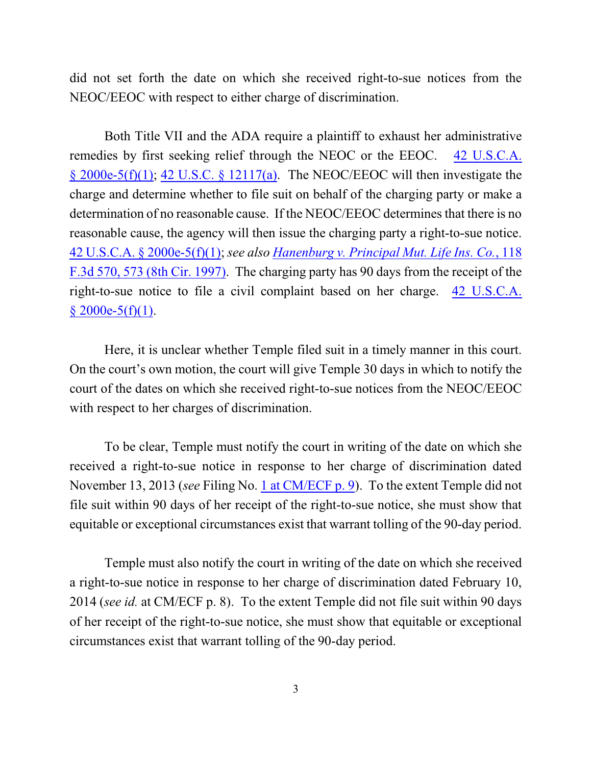did not set forth the date on which she received right-to-sue notices from the NEOC/EEOC with respect to either charge of discrimination.

Both Title VII and the ADA require a plaintiff to exhaust her administrative remedies by first seeking relief through the NEOC or the EEOC. [42 U.S.C.A.](http://westlaw.com/find/default.wl?ft=L&docname=42USCAS2000E-5&rs=btil2.0&rp=%2ffind%2fdefault.wl&fn=_top&findtype=L&vr=2.0&db=1000546&wbtoolsId=42USCAS2000E-5&HistoryType=F)  $\S$  2000e-5(f)(1); 42 U.S.C.  $\S$  12117(a). The NEOC/EEOC will then investigate the charge and determine whether to file suit on behalf of the charging party or make a determination of no reasonable cause. If the NEOC/EEOC determines that there is no reasonable cause, the agency will then issue the charging party a right-to-sue notice. [42 U.S.C.A. § 2000e-5\(f\)\(1\)](http://westlaw.com/find/default.wl?ft=L&docname=42USCAS2000E-5&rs=btil2.0&rp=%2ffind%2fdefault.wl&fn=_top&findtype=L&vr=2.0&db=1000546&wbtoolsId=42USCAS2000E-5&HistoryType=F); *see also Hanenburg v. [Principal Mut. Life](http://westlaw.com/find/default.wl?ft=Y&db=0000506&rs=btil2.0&rp=%2ffind%2fdefault.wl&serialnum=1997112227&fn=_top&findtype=Y&vr=2.0&wbtoolsId=1997112227&HistoryType=F) Ins. Co.*, 118 [F.3d 570, 573 \(8th Cir. 1997\)](http://westlaw.com/find/default.wl?ft=Y&db=0000506&rs=btil2.0&rp=%2ffind%2fdefault.wl&serialnum=1997112227&fn=_top&findtype=Y&vr=2.0&wbtoolsId=1997112227&HistoryType=F). The charging party has 90 days from the receipt of the right-to-sue notice to file a civil complaint based on her charge. [42 U.S.C.A.](http://westlaw.com/find/default.wl?ft=L&docname=42USCAS2000E-5&rs=btil2.0&rp=%2ffind%2fdefault.wl&fn=_top&findtype=L&vr=2.0&db=1000546&wbtoolsId=42USCAS2000E-5&HistoryType=F)  $§$  2000e-5(f)(1).

Here, it is unclear whether Temple filed suit in a timely manner in this court. On the court's own motion, the court will give Temple 30 days in which to notify the court of the dates on which she received right-to-sue notices from the NEOC/EEOC with respect to her charges of discrimination.

To be clear, Temple must notify the court in writing of the date on which she received a right-to-sue notice in response to her charge of discrimination dated November 13, 2013 (*see* Filing No. [1 at CM/ECF p. 9](http://ecf.ned.uscourts.gov/doc1/11313105944?page=9)). To the extent Temple did not file suit within 90 days of her receipt of the right-to-sue notice, she must show that equitable or exceptional circumstances exist that warrant tolling of the 90-day period.

Temple must also notify the court in writing of the date on which she received a right-to-sue notice in response to her charge of discrimination dated February 10, 2014 (*see id.* at CM/ECF p. 8). To the extent Temple did not file suit within 90 days of her receipt of the right-to-sue notice, she must show that equitable or exceptional circumstances exist that warrant tolling of the 90-day period.